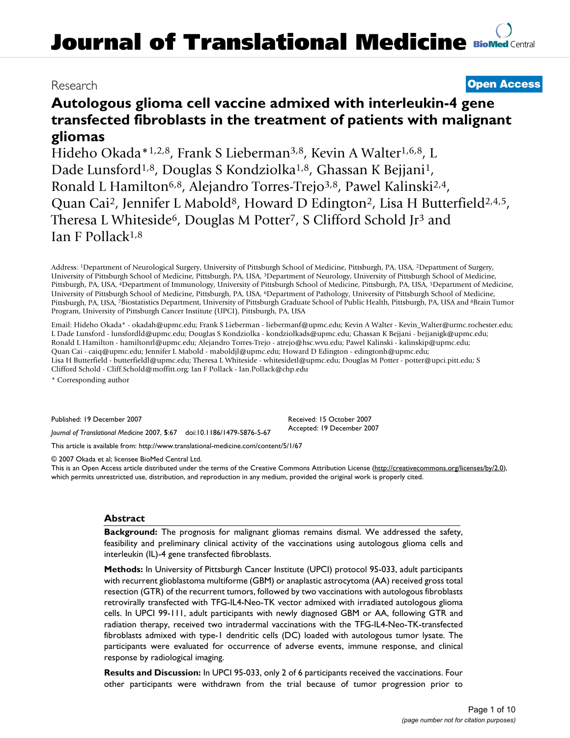# Research **[Open Access](http://www.biomedcentral.com/info/about/charter/)**

# **Autologous glioma cell vaccine admixed with interleukin-4 gene transfected fibroblasts in the treatment of patients with malignant gliomas**

Hideho Okada\*1,2,8, Frank S Lieberman<sup>3,8</sup>, Kevin A Walter<sup>1,6,8</sup>, L Dade Lunsford<sup>1,8</sup>, Douglas S Kondziolka<sup>1,8</sup>, Ghassan K Bejjani<sup>1</sup>, Ronald L Hamilton<sup>6,8</sup>, Alejandro Torres-Trejo<sup>3,8</sup>, Pawel Kalinski<sup>2,4</sup>, Quan Cai<sup>2</sup>, Jennifer L Mabold<sup>8</sup>, Howard D Edington<sup>2</sup>, Lisa H Butterfield<sup>2,4,5</sup>, Theresa L Whiteside<sup>6</sup>, Douglas M Potter<sup>7</sup>, S Clifford Schold Jr<sup>3</sup> and Ian F Pollack1,8

Address: 1Department of Neurological Surgery, University of Pittsburgh School of Medicine, Pittsburgh, PA, USA, 2Department of Surgery, University of Pittsburgh School of Medicine, Pittsburgh, PA, USA, 3Department of Neurology, University of Pittsburgh School of Medicine, Pittsburgh, PA, USA, 4Department of Immunology, University of Pittsburgh School of Medicine, Pittsburgh, PA, USA, 5Department of Medicine, University of Pittsburgh School of Medicine, Pittsburgh, PA, USA, 6Department of Pathology, University of Pittsburgh School of Medicine, Pittsburgh, PA, USA, 7Biostatistics Department, University of Pittsburgh Graduate School of Public Health, Pittsburgh, PA, USA and 8Brain Tumor Program, University of Pittsburgh Cancer Institute (UPCI), Pittsburgh, PA, USA

Email: Hideho Okada\* - okadah@upmc.edu; Frank S Lieberman - liebermanf@upmc.edu; Kevin A Walter - Kevin\_Walter@urmc.rochester.edu; L Dade Lunsford - lunsfordld@upmc.edu; Douglas S Kondziolka - kondziolkads@upmc.edu; Ghassan K Bejjani - bejjanigk@upmc.edu; Ronald L Hamilton - hamiltonrl@upmc.edu; Alejandro Torres-Trejo - atrejo@hsc.wvu.edu; Pawel Kalinski - kalinskip@upmc.edu; Quan Cai - caiq@upmc.edu; Jennifer L Mabold - maboldjl@upmc.edu; Howard D Edington - edingtonh@upmc.edu; Lisa H Butterfield - butterfieldl@upmc.edu; Theresa L Whiteside - whitesidetl@upmc.edu; Douglas M Potter - potter@upci.pitt.edu; S Clifford Schold - Cliff.Schold@moffitt.org; Ian F Pollack - Ian.Pollack@chp.edu

\* Corresponding author

Published: 19 December 2007

*Journal of Translational Medicine* 2007, **5**:67 doi:10.1186/1479-5876-5-67

[This article is available from: http://www.translational-medicine.com/content/5/1/67](http://www.translational-medicine.com/content/5/1/67)

© 2007 Okada et al; licensee BioMed Central Ltd.

This is an Open Access article distributed under the terms of the Creative Commons Attribution License [\(http://creativecommons.org/licenses/by/2.0\)](http://creativecommons.org/licenses/by/2.0), which permits unrestricted use, distribution, and reproduction in any medium, provided the original work is properly cited.

Received: 15 October 2007 Accepted: 19 December 2007

# **Abstract**

**Background:** The prognosis for malignant gliomas remains dismal. We addressed the safety, feasibility and preliminary clinical activity of the vaccinations using autologous glioma cells and interleukin (IL)-4 gene transfected fibroblasts.

**Methods:** In University of Pittsburgh Cancer Institute (UPCI) protocol 95-033, adult participants with recurrent glioblastoma multiforme (GBM) or anaplastic astrocytoma (AA) received gross total resection (GTR) of the recurrent tumors, followed by two vaccinations with autologous fibroblasts retrovirally transfected with TFG-IL4-Neo-TK vector admixed with irradiated autologous glioma cells. In UPCI 99-111, adult participants with newly diagnosed GBM or AA, following GTR and radiation therapy, received two intradermal vaccinations with the TFG-IL4-Neo-TK-transfected fibroblasts admixed with type-1 dendritic cells (DC) loaded with autologous tumor lysate. The participants were evaluated for occurrence of adverse events, immune response, and clinical response by radiological imaging.

**Results and Discussion:** In UPCI 95-033, only 2 of 6 participants received the vaccinations. Four other participants were withdrawn from the trial because of tumor progression prior to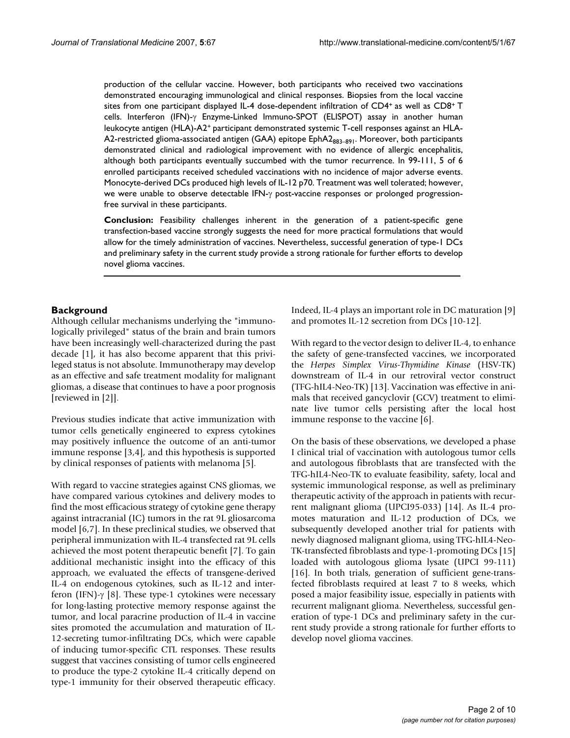production of the cellular vaccine. However, both participants who received two vaccinations demonstrated encouraging immunological and clinical responses. Biopsies from the local vaccine sites from one participant displayed IL-4 dose-dependent infiltration of CD4+ as well as CD8+ T cells. Interferon (IFN)-γ Enzyme-Linked Immuno-SPOT (ELISPOT) assay in another human leukocyte antigen (HLA)-A2+ participant demonstrated systemic T-cell responses against an HLA-A2-restricted glioma-associated antigen (GAA) epitope  $EphA2_{883-891}$ . Moreover, both participants demonstrated clinical and radiological improvement with no evidence of allergic encephalitis, although both participants eventually succumbed with the tumor recurrence. In 99-111, 5 of 6 enrolled participants received scheduled vaccinations with no incidence of major adverse events. Monocyte-derived DCs produced high levels of IL-12 p70. Treatment was well tolerated; however, we were unable to observe detectable IFN-γ post-vaccine responses or prolonged progressionfree survival in these participants.

**Conclusion:** Feasibility challenges inherent in the generation of a patient-specific gene transfection-based vaccine strongly suggests the need for more practical formulations that would allow for the timely administration of vaccines. Nevertheless, successful generation of type-1 DCs and preliminary safety in the current study provide a strong rationale for further efforts to develop novel glioma vaccines.

# **Background**

Although cellular mechanisms underlying the "immunologically privileged" status of the brain and brain tumors have been increasingly well-characterized during the past decade [1], it has also become apparent that this privileged status is not absolute. Immunotherapy may develop as an effective and safe treatment modality for malignant gliomas, a disease that continues to have a poor prognosis [reviewed in [2]].

Previous studies indicate that active immunization with tumor cells genetically engineered to express cytokines may positively influence the outcome of an anti-tumor immune response [3,4], and this hypothesis is supported by clinical responses of patients with melanoma [5].

With regard to vaccine strategies against CNS gliomas, we have compared various cytokines and delivery modes to find the most efficacious strategy of cytokine gene therapy against intracranial (IC) tumors in the rat 9L gliosarcoma model [6,7]. In these preclinical studies, we observed that peripheral immunization with IL-4 transfected rat 9L cells achieved the most potent therapeutic benefit [7]. To gain additional mechanistic insight into the efficacy of this approach, we evaluated the effects of transgene-derived IL-4 on endogenous cytokines, such as IL-12 and interferon (IFN)-γ [8]. These type-1 cytokines were necessary for long-lasting protective memory response against the tumor, and local paracrine production of IL-4 in vaccine sites promoted the accumulation and maturation of IL-12-secreting tumor-infiltrating DCs, which were capable of inducing tumor-specific CTL responses. These results suggest that vaccines consisting of tumor cells engineered to produce the type-2 cytokine IL-4 critically depend on type-1 immunity for their observed therapeutic efficacy.

Indeed, IL-4 plays an important role in DC maturation [9] and promotes IL-12 secretion from DCs [10-12].

With regard to the vector design to deliver IL-4, to enhance the safety of gene-transfected vaccines, we incorporated the *Herpes Simplex Virus-Thymidine Kinase* (HSV-TK) downstream of IL-4 in our retroviral vector construct (TFG-hIL4-Neo-TK) [13]. Vaccination was effective in animals that received gancyclovir (GCV) treatment to eliminate live tumor cells persisting after the local host immune response to the vaccine [6].

On the basis of these observations, we developed a phase I clinical trial of vaccination with autologous tumor cells and autologous fibroblasts that are transfected with the TFG-hIL4-Neo-TK to evaluate feasibility, safety, local and systemic immunological response, as well as preliminary therapeutic activity of the approach in patients with recurrent malignant glioma (UPCI95-033) [14]. As IL-4 promotes maturation and IL-12 production of DCs, we subsequently developed another trial for patients with newly diagnosed malignant glioma, using TFG-hIL4-Neo-TK-transfected fibroblasts and type-1-promoting DCs [15] loaded with autologous glioma lysate (UPCI 99-111) [16]. In both trials, generation of sufficient gene-transfected fibroblasts required at least 7 to 8 weeks, which posed a major feasibility issue, especially in patients with recurrent malignant glioma. Nevertheless, successful generation of type-1 DCs and preliminary safety in the current study provide a strong rationale for further efforts to develop novel glioma vaccines.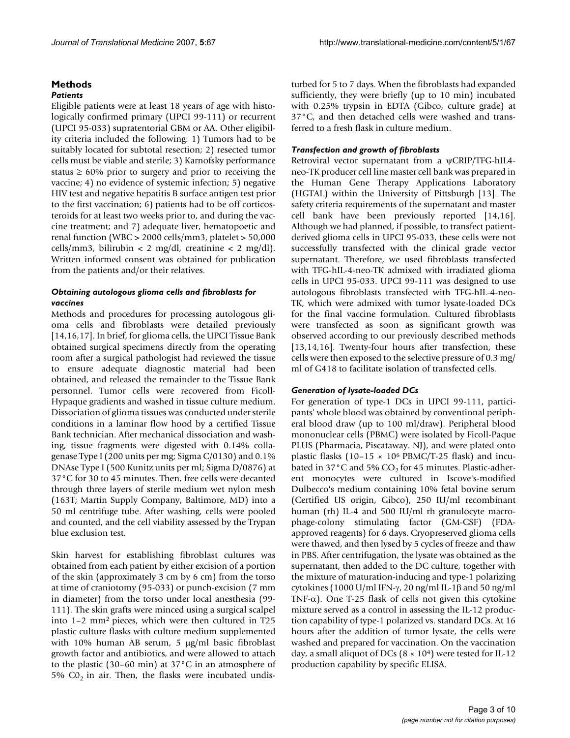#### **Methods** *Patients*

Eligible patients were at least 18 years of age with histologically confirmed primary (UPCI 99-111) or recurrent (UPCI 95-033) supratentorial GBM or AA. Other eligibility criteria included the following: 1) Tumors had to be suitably located for subtotal resection; 2) resected tumor cells must be viable and sterile; 3) Karnofsky performance status  $\geq 60\%$  prior to surgery and prior to receiving the vaccine; 4) no evidence of systemic infection; 5) negative HIV test and negative hepatitis B surface antigen test prior to the first vaccination; 6) patients had to be off corticosteroids for at least two weeks prior to, and during the vaccine treatment; and 7) adequate liver, hematopoetic and renal function (WBC > 2000 cells/mm3, platelet > 50,000 cells/mm3, bilirubin < 2 mg/dl, creatinine < 2 mg/dl). Written informed consent was obtained for publication from the patients and/or their relatives.

# *Obtaining autologous glioma cells and fibroblasts for vaccines*

Methods and procedures for processing autologous glioma cells and fibroblasts were detailed previously [14,16,17]. In brief, for glioma cells, the UPCI Tissue Bank obtained surgical specimens directly from the operating room after a surgical pathologist had reviewed the tissue to ensure adequate diagnostic material had been obtained, and released the remainder to the Tissue Bank personnel. Tumor cells were recovered from Ficoll-Hypaque gradients and washed in tissue culture medium. Dissociation of glioma tissues was conducted under sterile conditions in a laminar flow hood by a certified Tissue Bank technician. After mechanical dissociation and washing, tissue fragments were digested with 0.14% collagenase Type I (200 units per mg; Sigma C/0130) and 0.1% DNAse Type I (500 Kunitz units per ml; Sigma D/0876) at 37°C for 30 to 45 minutes. Then, free cells were decanted through three layers of sterile medium wet nylon mesh (163T; Martin Supply Company, Baltimore, MD) into a 50 ml centrifuge tube. After washing, cells were pooled and counted, and the cell viability assessed by the Trypan blue exclusion test.

Skin harvest for establishing fibroblast cultures was obtained from each patient by either excision of a portion of the skin (approximately 3 cm by 6 cm) from the torso at time of craniotomy (95-033) or punch-excision (7 mm in diameter) from the torso under local anesthesia (99- 111). The skin grafts were minced using a surgical scalpel into 1–2 mm2 pieces, which were then cultured in T25 plastic culture flasks with culture medium supplemented with 10% human AB serum, 5 µg/ml basic fibroblast growth factor and antibiotics, and were allowed to attach to the plastic (30–60 min) at 37°C in an atmosphere of 5%  $CO<sub>2</sub>$  in air. Then, the flasks were incubated undisturbed for 5 to 7 days. When the fibroblasts had expanded sufficiently, they were briefly (up to 10 min) incubated with 0.25% trypsin in EDTA (Gibco, culture grade) at 37°C, and then detached cells were washed and transferred to a fresh flask in culture medium.

### *Transfection and growth of fibroblasts*

Retroviral vector supernatant from a ψCRIP/TFG-hIL4 neo-TK producer cell line master cell bank was prepared in the Human Gene Therapy Applications Laboratory (HGTAL) within the University of Pittsburgh [13]. The safety criteria requirements of the supernatant and master cell bank have been previously reported [14,16]. Although we had planned, if possible, to transfect patientderived glioma cells in UPCI 95-033, these cells were not successfully transfected with the clinical grade vector supernatant. Therefore, we used fibroblasts transfected with TFG-hIL-4-neo-TK admixed with irradiated glioma cells in UPCI 95-033. UPCI 99-111 was designed to use autologous fibroblasts transfected with TFG-hIL-4-neo-TK, which were admixed with tumor lysate-loaded DCs for the final vaccine formulation. Cultured fibroblasts were transfected as soon as significant growth was observed according to our previously described methods [13,14,16]. Twenty-four hours after transfection, these cells were then exposed to the selective pressure of 0.3 mg/ ml of G418 to facilitate isolation of transfected cells.

#### *Generation of lysate-loaded DCs*

For generation of type-1 DCs in UPCI 99-111, participants' whole blood was obtained by conventional peripheral blood draw (up to 100 ml/draw). Peripheral blood mononuclear cells (PBMC) were isolated by Ficoll-Paque PLUS (Pharmacia, Piscataway. NJ), and were plated onto plastic flasks (10–15  $\times$  10<sup>6</sup> PBMC/T-25 flask) and incubated in  $37^{\circ}$ C and 5% CO<sub>2</sub> for 45 minutes. Plastic-adherent monocytes were cultured in Iscove's-modified Dulbecco's medium containing 10% fetal bovine serum (Certified US origin, Gibco), 250 IU/ml recombinant human (rh) IL-4 and 500 IU/ml rh granulocyte macrophage-colony stimulating factor (GM-CSF) (FDAapproved reagents) for 6 days. Cryopreserved glioma cells were thawed, and then lysed by 5 cycles of freeze and thaw in PBS. After centrifugation, the lysate was obtained as the supernatant, then added to the DC culture, together with the mixture of maturation-inducing and type-1 polarizing cytokines (1000 U/ml IFN-γ, 20 ng/ml IL-1β and 50 ng/ml TNF-α). One T-25 flask of cells not given this cytokine mixture served as a control in assessing the IL-12 production capability of type-1 polarized vs. standard DCs. At 16 hours after the addition of tumor lysate, the cells were washed and prepared for vaccination. On the vaccination day, a small aliquot of DCs ( $8 \times 10^{4}$ ) were tested for IL-12 production capability by specific ELISA.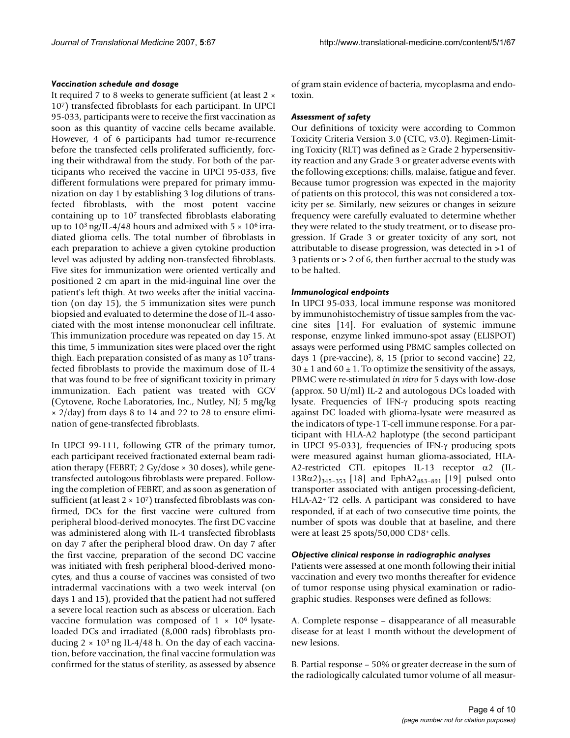#### *Vaccination schedule and dosage*

It required 7 to 8 weeks to generate sufficient (at least 2 × 107) transfected fibroblasts for each participant. In UPCI 95-033, participants were to receive the first vaccination as soon as this quantity of vaccine cells became available. However, 4 of 6 participants had tumor re-recurrence before the transfected cells proliferated sufficiently, forcing their withdrawal from the study. For both of the participants who received the vaccine in UPCI 95-033, five different formulations were prepared for primary immunization on day 1 by establishing 3 log dilutions of transfected fibroblasts, with the most potent vaccine containing up to 107 transfected fibroblasts elaborating up to  $10^3$  ng/IL-4/48 hours and admixed with  $5 \times 10^6$  irradiated glioma cells. The total number of fibroblasts in each preparation to achieve a given cytokine production level was adjusted by adding non-transfected fibroblasts. Five sites for immunization were oriented vertically and positioned 2 cm apart in the mid-inguinal line over the patient's left thigh. At two weeks after the initial vaccination (on day 15), the 5 immunization sites were punch biopsied and evaluated to determine the dose of IL-4 associated with the most intense mononuclear cell infiltrate. This immunization procedure was repeated on day 15. At this time, 5 immunization sites were placed over the right thigh. Each preparation consisted of as many as 107 transfected fibroblasts to provide the maximum dose of IL-4 that was found to be free of significant toxicity in primary immunization. Each patient was treated with GCV (Cytovene, Roche Laboratories, Inc., Nutley, NJ; 5 mg/kg  $\times$  2/day) from days 8 to 14 and 22 to 28 to ensure elimination of gene-transfected fibroblasts.

In UPCI 99-111, following GTR of the primary tumor, each participant received fractionated external beam radiation therapy (FEBRT; 2 Gy/dose × 30 doses), while genetransfected autologous fibroblasts were prepared. Following the completion of FEBRT, and as soon as generation of sufficient (at least  $2 \times 10^7$ ) transfected fibroblasts was confirmed, DCs for the first vaccine were cultured from peripheral blood-derived monocytes. The first DC vaccine was administered along with IL-4 transfected fibroblasts on day 7 after the peripheral blood draw. On day 7 after the first vaccine, preparation of the second DC vaccine was initiated with fresh peripheral blood-derived monocytes, and thus a course of vaccines was consisted of two intradermal vaccinations with a two week interval (on days 1 and 15), provided that the patient had not suffered a severe local reaction such as abscess or ulceration. Each vaccine formulation was composed of  $1 \times 10^6$  lysateloaded DCs and irradiated (8,000 rads) fibroblasts producing  $2 \times 10^3$  ng IL-4/48 h. On the day of each vaccination, before vaccination, the final vaccine formulation was confirmed for the status of sterility, as assessed by absence of gram stain evidence of bacteria, mycoplasma and endotoxin.

#### *Assessment of safety*

Our definitions of toxicity were according to Common Toxicity Criteria Version 3.0 (CTC, v3.0). Regimen-Limiting Toxicity (RLT) was defined as  $\geq$  Grade 2 hypersensitivity reaction and any Grade 3 or greater adverse events with the following exceptions; chills, malaise, fatigue and fever. Because tumor progression was expected in the majority of patients on this protocol, this was not considered a toxicity per se. Similarly, new seizures or changes in seizure frequency were carefully evaluated to determine whether they were related to the study treatment, or to disease progression. If Grade 3 or greater toxicity of any sort, not attributable to disease progression, was detected in >1 of 3 patients or > 2 of 6, then further accrual to the study was to be halted.

#### *Immunological endpoints*

In UPCI 95-033, local immune response was monitored by immunohistochemistry of tissue samples from the vaccine sites [14]. For evaluation of systemic immune response, enzyme linked immuno-spot assay (ELISPOT) assays were performed using PBMC samples collected on days 1 (pre-vaccine), 8, 15 (prior to second vaccine) 22,  $30 \pm 1$  and  $60 \pm 1$ . To optimize the sensitivity of the assays, PBMC were re-stimulated *in vitro* for 5 days with low-dose (approx. 50 U/ml) IL-2 and autologous DCs loaded with lysate. Frequencies of IFN-γ producing spots reacting against DC loaded with glioma-lysate were measured as the indicators of type-1 T-cell immune response. For a participant with HLA-A2 haplotype (the second participant in UPCI 95-033), frequencies of IFN-γ producing spots were measured against human glioma-associated, HLA-A2-restricted CTL epitopes IL-13 receptor α2 (IL- $13R\alpha$ 2)<sub>345–353</sub> [18] and EphA2<sub>883–891</sub> [19] pulsed onto transporter associated with antigen processing-deficient, HLA-A2+ T2 cells. A participant was considered to have responded, if at each of two consecutive time points, the number of spots was double that at baseline, and there were at least 25 spots/50,000 CD8+ cells.

#### *Objective clinical response in radiographic analyses*

Patients were assessed at one month following their initial vaccination and every two months thereafter for evidence of tumor response using physical examination or radiographic studies. Responses were defined as follows:

A. Complete response – disappearance of all measurable disease for at least 1 month without the development of new lesions.

B. Partial response – 50% or greater decrease in the sum of the radiologically calculated tumor volume of all measur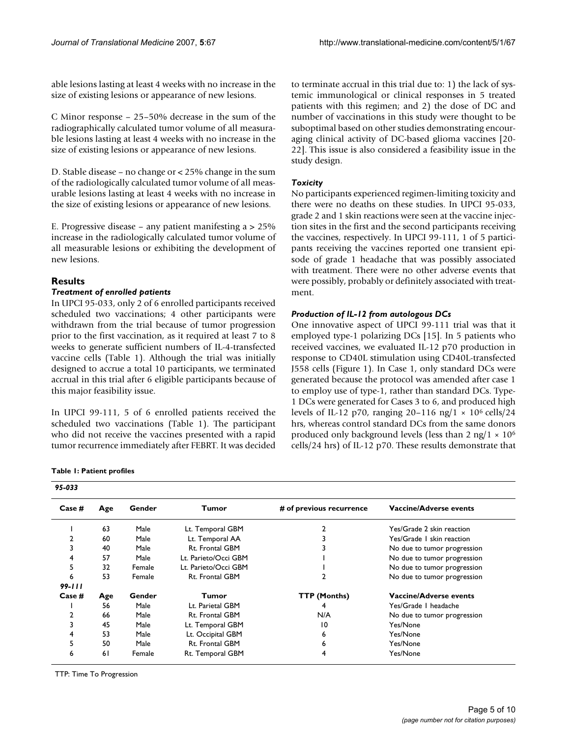able lesions lasting at least 4 weeks with no increase in the size of existing lesions or appearance of new lesions.

C Minor response – 25–50% decrease in the sum of the radiographically calculated tumor volume of all measurable lesions lasting at least 4 weeks with no increase in the size of existing lesions or appearance of new lesions.

D. Stable disease – no change or < 25% change in the sum of the radiologically calculated tumor volume of all measurable lesions lasting at least 4 weeks with no increase in the size of existing lesions or appearance of new lesions.

E. Progressive disease – any patient manifesting a > 25% increase in the radiologically calculated tumor volume of all measurable lesions or exhibiting the development of new lesions.

# **Results**

# *Treatment of enrolled patients*

In UPCI 95-033, only 2 of 6 enrolled participants received scheduled two vaccinations; 4 other participants were withdrawn from the trial because of tumor progression prior to the first vaccination, as it required at least 7 to 8 weeks to generate sufficient numbers of IL-4-transfected vaccine cells (Table 1). Although the trial was initially designed to accrue a total 10 participants, we terminated accrual in this trial after 6 eligible participants because of this major feasibility issue.

In UPCI 99-111, 5 of 6 enrolled patients received the scheduled two vaccinations (Table 1). The participant who did not receive the vaccines presented with a rapid tumor recurrence immediately after FEBRT. It was decided to terminate accrual in this trial due to: 1) the lack of systemic immunological or clinical responses in 5 treated patients with this regimen; and 2) the dose of DC and number of vaccinations in this study were thought to be suboptimal based on other studies demonstrating encouraging clinical activity of DC-based glioma vaccines [20- 22]. This issue is also considered a feasibility issue in the study design.

# *Toxicity*

No participants experienced regimen-limiting toxicity and there were no deaths on these studies. In UPCI 95-033, grade 2 and 1 skin reactions were seen at the vaccine injection sites in the first and the second participants receiving the vaccines, respectively. In UPCI 99-111, 1 of 5 participants receiving the vaccines reported one transient episode of grade 1 headache that was possibly associated with treatment. There were no other adverse events that were possibly, probably or definitely associated with treatment.

# *Production of IL-12 from autologous DCs*

One innovative aspect of UPCI 99-111 trial was that it employed type-1 polarizing DCs [15]. In 5 patients who received vaccines, we evaluated IL-12 p70 production in response to CD40L stimulation using CD40L-transfected J558 cells (Figure 1). In Case 1, only standard DCs were generated because the protocol was amended after case 1 to employ use of type-1, rather than standard DCs. Type-1 DCs were generated for Cases 3 to 6, and produced high levels of IL-12 p70, ranging 20–116 ng/1  $\times$  10<sup>6</sup> cells/24 hrs, whereas control standard DCs from the same donors produced only background levels (less than 2 ng/1  $\times$  10<sup>6</sup> cells/24 hrs) of IL-12 p70. These results demonstrate that

| 95-033    |     |        |                      |                          |                               |
|-----------|-----|--------|----------------------|--------------------------|-------------------------------|
| $Case \#$ | Age | Gender | Tumor                | # of previous recurrence | <b>Vaccine/Adverse events</b> |
|           | 63  | Male   | Lt. Temporal GBM     |                          | Yes/Grade 2 skin reaction     |
|           | 60  | Male   | Lt. Temporal AA      |                          | Yes/Grade 1 skin reaction     |
| 3         | 40  | Male   | Rt. Frontal GBM      |                          | No due to tumor progression   |
| 4         | 57  | Male   | Lt. Parieto/Occi GBM |                          | No due to tumor progression   |
| 5         | 32  | Female | Lt. Parieto/Occi GBM |                          | No due to tumor progression   |
| 6         | 53  | Female | Rt. Frontal GBM      |                          | No due to tumor progression   |
| 99-111    |     |        |                      |                          |                               |
| $Case \#$ | Age | Gender | Tumor                | <b>TTP (Months)</b>      | Vaccine/Adverse events        |
|           | 56  | Male   | Lt. Parietal GBM     |                          | Yes/Grade I headache          |
| 2         | 66  | Male   | Rt. Frontal GBM      | N/A                      | No due to tumor progression   |
| 3         | 45  | Male   | Lt. Temporal GBM     | 10                       | Yes/None                      |
| 4         | 53  | Male   | Lt. Occipital GBM    |                          | Yes/None                      |
| 5         | 50  | Male   | Rt. Frontal GBM      |                          | Yes/None                      |
| 6         | 61  | Female | Rt. Temporal GBM     | 4                        | Yes/None                      |

TTP: Time To Progression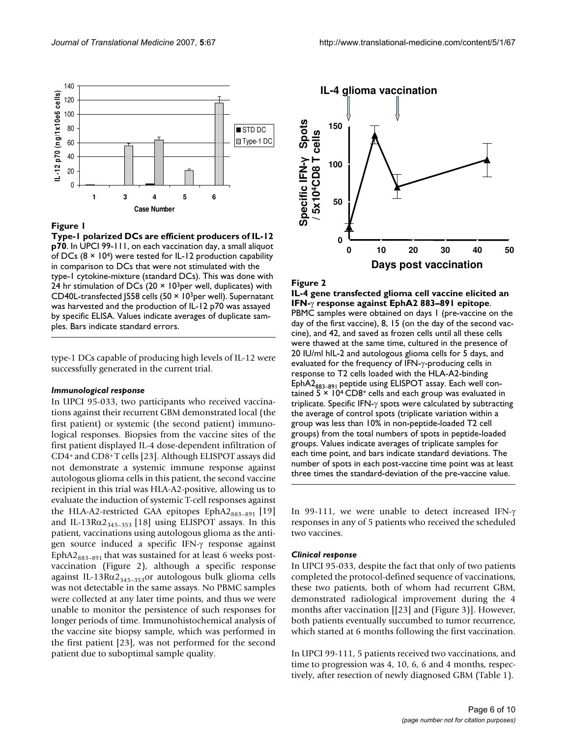

# **Figure 1**

**Type-1 polarized DCs are efficient producers of IL-12 p70**. In UPCI 99-111, on each vaccination day, a small aliquot of DCs  $(8 \times 10^4)$  were tested for IL-12 production capability in comparison to DCs that were not stimulated with the type-1 cytokine-mixture (standard DCs). This was done with 24 hr stimulation of DCs (20  $\times$  10<sup>3</sup>per well, duplicates) with CD40L-transfected J558 cells (50 × 103per well). Supernatant was harvested and the production of IL-12 p70 was assayed by specific ELISA. Values indicate averages of duplicate samples. Bars indicate standard errors.

type-1 DCs capable of producing high levels of IL-12 were successfully generated in the current trial.

#### *Immunological response*

In UPCI 95-033, two participants who received vaccinations against their recurrent GBM demonstrated local (the first patient) or systemic (the second patient) immunological responses. Biopsies from the vaccine sites of the first patient displayed IL-4 dose-dependent infiltration of CD4+ and CD8+ T cells [23]. Although ELISPOT assays did not demonstrate a systemic immune response against autologous glioma cells in this patient, the second vaccine recipient in this trial was HLA-A2-positive, allowing us to evaluate the induction of systemic T-cell responses against the HLA-A2-restricted GAA epitopes EphA2 $_{883-891}$  [19] and IL-13R $\alpha$ 2<sub>345-353</sub> [18] using ELISPOT assays. In this patient, vaccinations using autologous glioma as the antigen source induced a specific IFN-γ response against EphA2 $_{883-891}$  that was sustained for at least 6 weeks postvaccination (Figure 2), although a specific response against IL-13R $\alpha$ 2<sub>345-353</sub>or autologous bulk glioma cells</sub> was not detectable in the same assays. No PBMC samples were collected at any later time points, and thus we were unable to monitor the persistence of such responses for longer periods of time. Immunohistochemical analysis of the vaccine site biopsy sample, which was performed in the first patient [23], was not performed for the second patient due to suboptimal sample quality.



#### Figure 2

**IL-4 gene transfected glioma cell vaccine elicited an IFN-**γ **response against EphA2 883–891 epitope**. PBMC samples were obtained on days 1 (pre-vaccine on the day of the first vaccine), 8, 15 (on the day of the second vaccine), and 42, and saved as frozen cells until all these cells were thawed at the same time, cultured in the presence of 20 IU/ml hIL-2 and autologous glioma cells for 5 days, and evaluated for the frequency of IFN-γ-producing cells in response to T2 cells loaded with the HLA-A2-binding EphA2<sub>883-891</sub> peptide using ELISPOT assay. Each well contained  $5 \times 10^4$  CD8<sup>+</sup> cells and each group was evaluated in triplicate. Specific IFN-γ spots were calculated by subtracting the average of control spots (triplicate variation within a group was less than 10% in non-peptide-loaded T2 cell groups) from the total numbers of spots in peptide-loaded groups. Values indicate averages of triplicate samples for each time point, and bars indicate standard deviations. The number of spots in each post-vaccine time point was at least The standard of the standard-deviation of the pre-vaccine times the standard-deviation of the pre-vace of the standard-deviation of the first vaction),  $\frac{1}{2}$  IFN- $\gamma$  response against EphA2 883–891 epitope.<br>
PBMC samp

In 99-111, we were unable to detect increased IFN-γ responses in any of 5 patients who received the scheduled two vaccines.

#### *Clinical response*

In UPCI 95-033, despite the fact that only of two patients completed the protocol-defined sequence of vaccinations, these two patients, both of whom had recurrent GBM, demonstrated radiological improvement during the 4 months after vaccination [[23] and (Figure 3)]. However, both patients eventually succumbed to tumor recurrence, which started at 6 months following the first vaccination.

In UPCI 99-111, 5 patients received two vaccinations, and time to progression was 4, 10, 6, 6 and 4 months, respectively, after resection of newly diagnosed GBM (Table 1).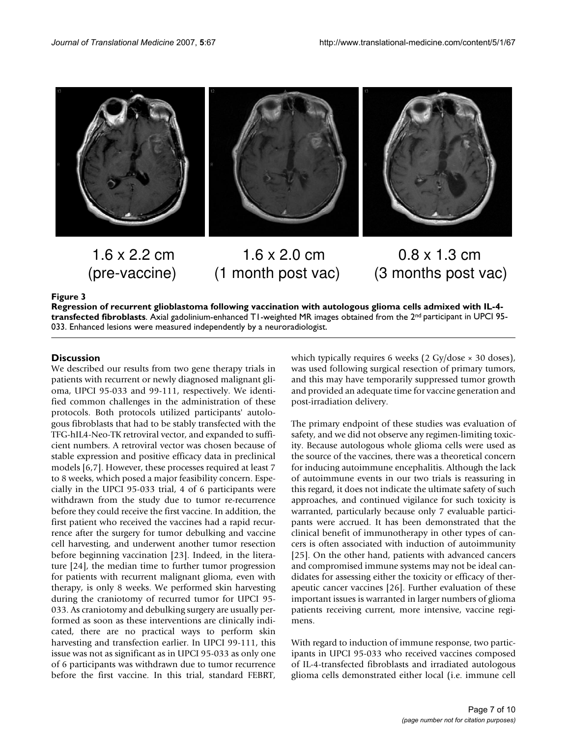

# 1.6 x 2.2 cm **1.6 x 2.0 cm** 0.8 x 1.3 cm (pre-vaccine) (1 month post vac) (3 months post vac)

### Regression of recurrent lasts **Figure 3** glioblastoma following vaccination with autologous glioma cells admixed with IL-4-transfected fibrob-

**Regression of recurrent glioblastoma following vaccination with autologous glioma cells admixed with IL-4 transfected fibroblasts**. Axial gadolinium-enhanced T1-weighted MR images obtained from the 2nd participant in UPCI 95- 033. Enhanced lesions were measured independently by a neuroradiologist.

# **Discussion**

We described our results from two gene therapy trials in patients with recurrent or newly diagnosed malignant glioma, UPCI 95-033 and 99-111, respectively. We identified common challenges in the administration of these protocols. Both protocols utilized participants' autologous fibroblasts that had to be stably transfected with the TFG-hIL4-Neo-TK retroviral vector, and expanded to sufficient numbers. A retroviral vector was chosen because of stable expression and positive efficacy data in preclinical models [6,7]. However, these processes required at least 7 to 8 weeks, which posed a major feasibility concern. Especially in the UPCI 95-033 trial, 4 of 6 participants were withdrawn from the study due to tumor re-recurrence before they could receive the first vaccine. In addition, the first patient who received the vaccines had a rapid recurrence after the surgery for tumor debulking and vaccine cell harvesting, and underwent another tumor resection before beginning vaccination [23]. Indeed, in the literature [24], the median time to further tumor progression for patients with recurrent malignant glioma, even with therapy, is only 8 weeks. We performed skin harvesting during the craniotomy of recurred tumor for UPCI 95- 033. As craniotomy and debulking surgery are usually performed as soon as these interventions are clinically indicated, there are no practical ways to perform skin harvesting and transfection earlier. In UPCI 99-111, this issue was not as significant as in UPCI 95-033 as only one of 6 participants was withdrawn due to tumor recurrence before the first vaccine. In this trial, standard FEBRT,

which typically requires 6 weeks (2 Gy/dose × 30 doses), was used following surgical resection of primary tumors, and this may have temporarily suppressed tumor growth and provided an adequate time for vaccine generation and post-irradiation delivery.

The primary endpoint of these studies was evaluation of safety, and we did not observe any regimen-limiting toxicity. Because autologous whole glioma cells were used as the source of the vaccines, there was a theoretical concern for inducing autoimmune encephalitis. Although the lack of autoimmune events in our two trials is reassuring in this regard, it does not indicate the ultimate safety of such approaches, and continued vigilance for such toxicity is warranted, particularly because only 7 evaluable participants were accrued. It has been demonstrated that the clinical benefit of immunotherapy in other types of cancers is often associated with induction of autoimmunity [25]. On the other hand, patients with advanced cancers and compromised immune systems may not be ideal candidates for assessing either the toxicity or efficacy of therapeutic cancer vaccines [26]. Further evaluation of these important issues is warranted in larger numbers of glioma patients receiving current, more intensive, vaccine regimens.

With regard to induction of immune response, two participants in UPCI 95-033 who received vaccines composed of IL-4-transfected fibroblasts and irradiated autologous glioma cells demonstrated either local (i.e. immune cell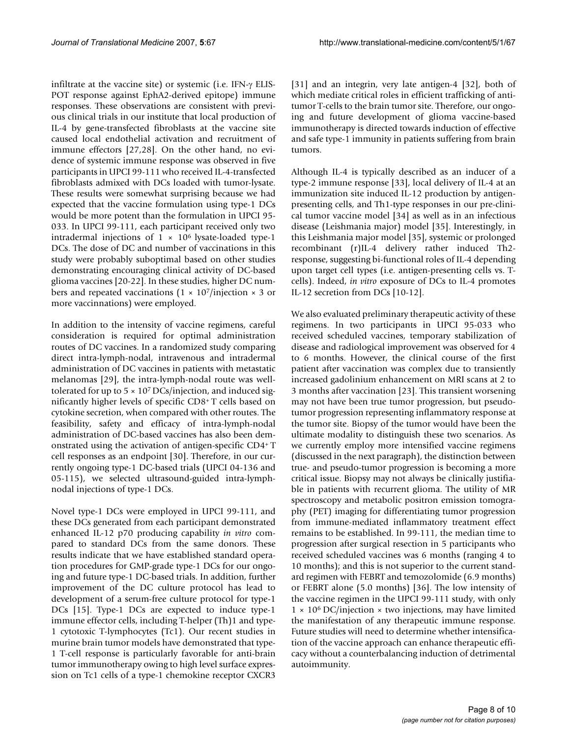infiltrate at the vaccine site) or systemic (i.e. IFN- $\gamma$  ELIS-POT response against EphA2-derived epitope) immune responses. These observations are consistent with previous clinical trials in our institute that local production of IL-4 by gene-transfected fibroblasts at the vaccine site caused local endothelial activation and recruitment of immune effectors [27,28]. On the other hand, no evidence of systemic immune response was observed in five participants in UPCI 99-111 who received IL-4-transfected fibroblasts admixed with DCs loaded with tumor-lysate. These results were somewhat surprising because we had expected that the vaccine formulation using type-1 DCs would be more potent than the formulation in UPCI 95- 033. In UPCI 99-111, each participant received only two intradermal injections of  $1 \times 10^6$  lysate-loaded type-1 DCs. The dose of DC and number of vaccinations in this study were probably suboptimal based on other studies demonstrating encouraging clinical activity of DC-based glioma vaccines [20-22]. In these studies, higher DC numbers and repeated vaccinations  $(1 \times 10^7$ /injection  $\times$  3 or more vaccinnations) were employed.

In addition to the intensity of vaccine regimens, careful consideration is required for optimal administration routes of DC vaccines. In a randomized study comparing direct intra-lymph-nodal, intravenous and intradermal administration of DC vaccines in patients with metastatic melanomas [29], the intra-lymph-nodal route was welltolerated for up to  $5 \times 10^7$  DCs/injection, and induced significantly higher levels of specific CD8+ T cells based on cytokine secretion, when compared with other routes. The feasibility, safety and efficacy of intra-lymph-nodal administration of DC-based vaccines has also been demonstrated using the activation of antigen-specific CD4+ T cell responses as an endpoint [30]. Therefore, in our currently ongoing type-1 DC-based trials (UPCI 04-136 and 05-115), we selected ultrasound-guided intra-lymphnodal injections of type-1 DCs.

Novel type-1 DCs were employed in UPCI 99-111, and these DCs generated from each participant demonstrated enhanced IL-12 p70 producing capability *in vitro* compared to standard DCs from the same donors. These results indicate that we have established standard operation procedures for GMP-grade type-1 DCs for our ongoing and future type-1 DC-based trials. In addition, further improvement of the DC culture protocol has lead to development of a serum-free culture protocol for type-1 DCs [15]. Type-1 DCs are expected to induce type-1 immune effector cells, including T-helper (Th)1 and type-1 cytotoxic T-lymphocytes (Tc1). Our recent studies in murine brain tumor models have demonstrated that type-1 T-cell response is particularly favorable for anti-brain tumor immunotherapy owing to high level surface expression on Tc1 cells of a type-1 chemokine receptor CXCR3

[31] and an integrin, very late antigen-4 [32], both of which mediate critical roles in efficient trafficking of antitumor T-cells to the brain tumor site. Therefore, our ongoing and future development of glioma vaccine-based immunotherapy is directed towards induction of effective and safe type-1 immunity in patients suffering from brain tumors.

Although IL-4 is typically described as an inducer of a type-2 immune response [33], local delivery of IL-4 at an immunization site induced IL-12 production by antigenpresenting cells, and Th1-type responses in our pre-clinical tumor vaccine model [34] as well as in an infectious disease (Leishmania major) model [35]. Interestingly, in this Leishmania major model [35], systemic or prolonged recombinant (r)IL-4 delivery rather induced Th2 response, suggesting bi-functional roles of IL-4 depending upon target cell types (i.e. antigen-presenting cells vs. Tcells). Indeed, *in vitro* exposure of DCs to IL-4 promotes IL-12 secretion from DCs [10-12].

We also evaluated preliminary therapeutic activity of these regimens. In two participants in UPCI 95-033 who received scheduled vaccines, temporary stabilization of disease and radiological improvement was observed for 4 to 6 months. However, the clinical course of the first patient after vaccination was complex due to transiently increased gadolinium enhancement on MRI scans at 2 to 3 months after vaccination [23]. This transient worsening may not have been true tumor progression, but pseudotumor progression representing inflammatory response at the tumor site. Biopsy of the tumor would have been the ultimate modality to distinguish these two scenarios. As we currently employ more intensified vaccine regimens (discussed in the next paragraph), the distinction between true- and pseudo-tumor progression is becoming a more critical issue. Biopsy may not always be clinically justifiable in patients with recurrent glioma. The utility of MR spectroscopy and metabolic positron emission tomography (PET) imaging for differentiating tumor progression from immune-mediated inflammatory treatment effect remains to be established. In 99-111, the median time to progression after surgical resection in 5 participants who received scheduled vaccines was 6 months (ranging 4 to 10 months); and this is not superior to the current standard regimen with FEBRT and temozolomide (6.9 months) or FEBRT alone (5.0 months) [36]. The low intensity of the vaccine regimen in the UPCI 99-111 study, with only  $1 \times 10^6$  DC/injection  $\times$  two injections, may have limited the manifestation of any therapeutic immune response. Future studies will need to determine whether intensification of the vaccine approach can enhance therapeutic efficacy without a counterbalancing induction of detrimental autoimmunity.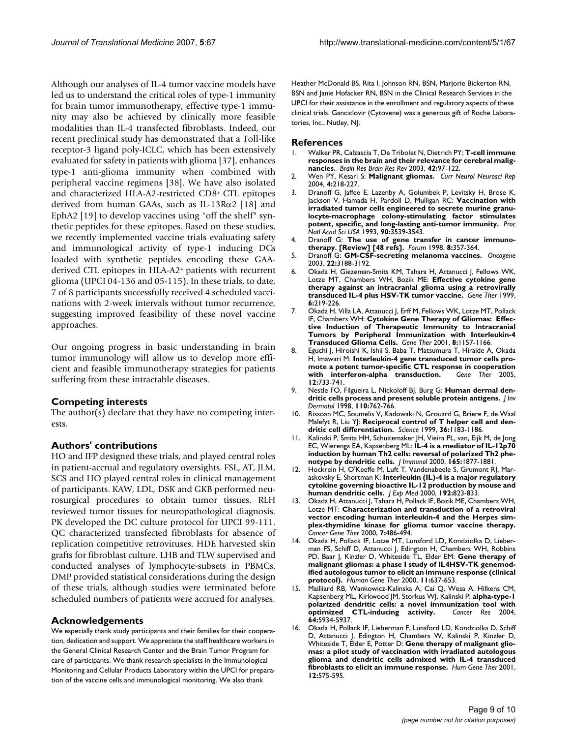Although our analyses of IL-4 tumor vaccine models have led us to understand the critical roles of type-1 immunity for brain tumor immunotherapy, effective type-1 immunity may also be achieved by clinically more feasible modalities than IL-4 transfected fibroblasts. Indeed, our recent preclinical study has demonstrated that a Toll-like receptor-3 ligand poly-ICLC, which has been extensively evaluated for safety in patients with glioma [37], enhances type-1 anti-glioma immunity when combined with peripheral vaccine regimens [38]. We have also isolated and characterized HLA-A2-restricted CD8+ CTL epitopes derived from human GAAs, such as IL-13Rα2 [18] and EphA2 [19] to develop vaccines using "off the shelf" synthetic peptides for these epitopes. Based on these studies, we recently implemented vaccine trials evaluating safety and immunological activity of type-1 inducing DCs loaded with synthetic peptides encoding these GAAderived CTL epitopes in HLA-A2+ patients with recurrent glioma (UPCI 04-136 and 05-115). In these trials, to date, 7 of 8 participants successfully received 4 scheduled vaccinations with 2-week intervals without tumor recurrence, suggesting improved feasibility of these novel vaccine approaches.

Our ongoing progress in basic understanding in brain tumor immunology will allow us to develop more efficient and feasible immunotherapy strategies for patients suffering from these intractable diseases.

#### **Competing interests**

The author(s) declare that they have no competing interests.

#### **Authors' contributions**

HO and IFP designed these trials, and played central roles in patient-accrual and regulatory oversights. FSL, AT, JLM, SCS and HO played central roles in clinical management of participants. KAW, LDL, DSK and GKB performed neurosurgical procedures to obtain tumor tissues. RLH reviewed tumor tissues for neuropathological diagnosis. PK developed the DC culture protocol for UPCI 99-111. QC characterized transfected fibroblasts for absence of replication competitive retroviruses. HDE harvested skin grafts for fibroblast culture. LHB and TLW supervised and conducted analyses of lymphocyte-subsets in PBMCs. DMP provided statistical considerations during the design of these trials, although studies were terminated before scheduled numbers of patients were accrued for analyses.

#### **Acknowledgements**

We especially thank study participants and their families for their cooperation, dedication and support. We appreciate the staff healthcare workers in the General Clinical Research Center and the Brain Tumor Program for care of participants. We thank research specialists in the Immunological Monitoring and Cellular Products Laboratory within the UPCI for preparation of the vaccine cells and immunological monitoring. We also thank

Heather McDonald BS, Rita I. Johnson RN, BSN, Marjorie Bickerton RN, BSN and Janie Hofacker RN, BSN in the Clinical Research Services in the UPCI for their assistance in the enrollment and regulatory aspects of these clinical trials. Ganciclovir (Cytovene) was a generous gift of Roche Laboratories, Inc., Nutley, NJ.

#### **References**

- 1. Walker PR, Calzascia T, De Tribolet N, Dietrich PY: **[T-cell immune](http://www.ncbi.nlm.nih.gov/entrez/query.fcgi?cmd=Retrieve&db=PubMed&dopt=Abstract&list_uids=12738053) [responses in the brain and their relevance for cerebral malig](http://www.ncbi.nlm.nih.gov/entrez/query.fcgi?cmd=Retrieve&db=PubMed&dopt=Abstract&list_uids=12738053)[nancies.](http://www.ncbi.nlm.nih.gov/entrez/query.fcgi?cmd=Retrieve&db=PubMed&dopt=Abstract&list_uids=12738053)** *Brain Res Brain Res Rev* 2003, **42:**97-122.
- 2. Wen PY, Kesari S: **[Malignant gliomas.](http://www.ncbi.nlm.nih.gov/entrez/query.fcgi?cmd=Retrieve&db=PubMed&dopt=Abstract&list_uids=15102348)** *Curr Neurol Neurosci Rep* 2004, **4:**218-227.
- 3. Dranoff G, Jaffee E, Lazenby A, Golumbek P, Levitsky H, Brose K, Jackson V, Hamada H, Pardoll D, Mulligan RC: **[Vaccination with](http://www.ncbi.nlm.nih.gov/entrez/query.fcgi?cmd=Retrieve&db=PubMed&dopt=Abstract&list_uids=8097319) irradiated tumor cells engineered to secrete murine granu[locyte-macrophage colony-stimulating factor stimulates](http://www.ncbi.nlm.nih.gov/entrez/query.fcgi?cmd=Retrieve&db=PubMed&dopt=Abstract&list_uids=8097319) [potent, specific, and long-lasting anti-tumor immunity.](http://www.ncbi.nlm.nih.gov/entrez/query.fcgi?cmd=Retrieve&db=PubMed&dopt=Abstract&list_uids=8097319)** *Proc Natl Acad Sci USA* 1993, **90:**3539-3543.
- 4. Dranoff G: **[The use of gene transfer in cancer immuno](http://www.ncbi.nlm.nih.gov/entrez/query.fcgi?cmd=Retrieve&db=PubMed&dopt=Abstract&list_uids=9863030)[therapy. \[Review\] \[48 refs\].](http://www.ncbi.nlm.nih.gov/entrez/query.fcgi?cmd=Retrieve&db=PubMed&dopt=Abstract&list_uids=9863030)** *Forum* 1998, **8:**357-364.
- 5. Dranoff G: **[GM-CSF-secreting melanoma vaccines.](http://www.ncbi.nlm.nih.gov/entrez/query.fcgi?cmd=Retrieve&db=PubMed&dopt=Abstract&list_uids=12789295)** *Oncogene* 2003, **22:**3188-3192.
- 6. Okada H, Giezeman-Smits KM, Tahara H, Attanucci J, Fellows WK, Lotze MT, Chambers WH, Bozik ME: **[Effective cytokine gene](http://www.ncbi.nlm.nih.gov/entrez/query.fcgi?cmd=Retrieve&db=PubMed&dopt=Abstract&list_uids=10435106) [therapy against an intracranial glioma using a retrovirally](http://www.ncbi.nlm.nih.gov/entrez/query.fcgi?cmd=Retrieve&db=PubMed&dopt=Abstract&list_uids=10435106) [transduced IL-4 plus HSV-TK tumor vaccine.](http://www.ncbi.nlm.nih.gov/entrez/query.fcgi?cmd=Retrieve&db=PubMed&dopt=Abstract&list_uids=10435106)** *Gene Ther* 1999, **6:**219-226.
- 7. Okada H, Villa LA, Attanucci J, Erff M, Fellows WK, Lotze MT, Pollack IF, Chambers WH: **[Cytokine Gene Therapy of Gliomas: Effec](http://www.ncbi.nlm.nih.gov/entrez/query.fcgi?cmd=Retrieve&db=PubMed&dopt=Abstract&list_uids=11509946)tive Induction of Therapeutic Immunity to Intracranial [Tumors by Peripheral Immunization with Interleukin-4](http://www.ncbi.nlm.nih.gov/entrez/query.fcgi?cmd=Retrieve&db=PubMed&dopt=Abstract&list_uids=11509946) [Transduced Glioma Cells.](http://www.ncbi.nlm.nih.gov/entrez/query.fcgi?cmd=Retrieve&db=PubMed&dopt=Abstract&list_uids=11509946)** *Gene Ther* 2001, **8:**1157-1166.
- 8. Eguchi J, Hiroishi K, Ishii S, Baba T, Matsumura T, Hiraide A, Okada H, Imawari M: **[Interleukin-4 gene transduced tumor cells pro](http://www.ncbi.nlm.nih.gov/entrez/query.fcgi?cmd=Retrieve&db=PubMed&dopt=Abstract&list_uids=15772692)**mote a potent tumor-specific **CTL** response in cooperation<br>with interferon-alpha transduction. Gene Ther 2005. [with interferon-alpha transduction.](http://www.ncbi.nlm.nih.gov/entrez/query.fcgi?cmd=Retrieve&db=PubMed&dopt=Abstract&list_uids=15772692) **12:**733-741.
- 9. Nestle FO, Filgueira L, Nickoloff BJ, Burg G: **Human dermal dendritic cells process and present soluble protein antigens.** *J Inv Dermatol* 1998, **110:**762-766.
- 10. Rissoan MC, Soumelis V, Kadowaki N, Grouard G, Briere F, de Waal Malefyt R, Liu YJ: **Reciprocal control of T helper cell and dendritic cell differentiation.** *Science* 1999, **36:**1183-1186.
- Kalinski P, Smits HH, Schuitemaker JH, Vieira PL, van, Eijk M, de Jong EC, Wierenga EA, Kapsenberg ML: **[IL-4 is a mediator of IL-12p70](http://www.ncbi.nlm.nih.gov/entrez/query.fcgi?cmd=Retrieve&db=PubMed&dopt=Abstract&list_uids=10925267) [induction by human Th2 cells: reversal of polarized Th2 phe](http://www.ncbi.nlm.nih.gov/entrez/query.fcgi?cmd=Retrieve&db=PubMed&dopt=Abstract&list_uids=10925267)[notype by dendritic cells.](http://www.ncbi.nlm.nih.gov/entrez/query.fcgi?cmd=Retrieve&db=PubMed&dopt=Abstract&list_uids=10925267)** *J Immunol* 2000, **165:**1877-1881.
- 12. Hockrein H, O'Keeffe M, Luft T, Vandenabeele S, Grumont RJ, Maraskovsky E, Shortman K: **[Interleukin \(IL\)-4 is a major regulatory](http://www.ncbi.nlm.nih.gov/entrez/query.fcgi?cmd=Retrieve&db=PubMed&dopt=Abstract&list_uids=10993913) [cytokine governing bioactive IL-12 production by mouse and](http://www.ncbi.nlm.nih.gov/entrez/query.fcgi?cmd=Retrieve&db=PubMed&dopt=Abstract&list_uids=10993913) [human dendritic cells.](http://www.ncbi.nlm.nih.gov/entrez/query.fcgi?cmd=Retrieve&db=PubMed&dopt=Abstract&list_uids=10993913)** *J Exp Med* 2000, **192:**823-833.
- 13. Okada H, Attanucci J, Tahara H, Pollack IF, Bozik ME, Chambers WH, Lotze MT: **[Characterization and transduction of a retroviral](http://www.ncbi.nlm.nih.gov/entrez/query.fcgi?cmd=Retrieve&db=PubMed&dopt=Abstract&list_uids=10766355) vector encoding human interleukin-4 and the Herpes sim[plex-thymidine kinase for glioma tumor vaccine therapy.](http://www.ncbi.nlm.nih.gov/entrez/query.fcgi?cmd=Retrieve&db=PubMed&dopt=Abstract&list_uids=10766355)** *Cancer Gene Ther* 2000, **7:**486-494.
- 14. Okada H, Pollack IF, Lotze MT, Lunsford LD, Kondziolka D, Lieberman FS, Schiff D, Attanucci J, Edington H, Chambers WH, Robbins PD, Baar J, Kinzler D, Whiteside TL, Elder EM: **Gene therapy of malignant gliomas: a phase I study of IL4HSV-TK genemodified autologous tumor to elicit an immune response (clinical protocol).** *Human Gene Ther* 2000, **11:**637-653.
- 15. Mailliard RB, Wankowicz-Kalinska A, Cai Q, Wesa A, Hilkens CM, Kapsenberg ML, Kirkwood JM, Storkus WJ, Kalinski P: **[alpha-type-1](http://www.ncbi.nlm.nih.gov/entrez/query.fcgi?cmd=Retrieve&db=PubMed&dopt=Abstract&list_uids=15342370) [polarized dendritic cells: a novel immunization tool with](http://www.ncbi.nlm.nih.gov/entrez/query.fcgi?cmd=Retrieve&db=PubMed&dopt=Abstract&list_uids=15342370) [optimized CTL-inducing activity.](http://www.ncbi.nlm.nih.gov/entrez/query.fcgi?cmd=Retrieve&db=PubMed&dopt=Abstract&list_uids=15342370)** *Cancer Res* 2004, **64:**5934-5937.
- 16. Okada H, Pollack IF, Lieberman F, Lunsford LD, Kondziolka D, Schiff D, Attanucci J, Edington H, Chambers W, Kalinski P, Kinzler D, Whiteside T, Elder E, Potter D: **[Gene therapy of malignant glio](http://www.ncbi.nlm.nih.gov/entrez/query.fcgi?cmd=Retrieve&db=PubMed&dopt=Abstract&list_uids=11268289)mas: a pilot study of vaccination with irradiated autologous [glioma and dendritic cells admixed with IL-4 transduced](http://www.ncbi.nlm.nih.gov/entrez/query.fcgi?cmd=Retrieve&db=PubMed&dopt=Abstract&list_uids=11268289) [fibroblasts to elicit an immune response.](http://www.ncbi.nlm.nih.gov/entrez/query.fcgi?cmd=Retrieve&db=PubMed&dopt=Abstract&list_uids=11268289)** *Hum Gene Ther* 2001, **12:**575-595.